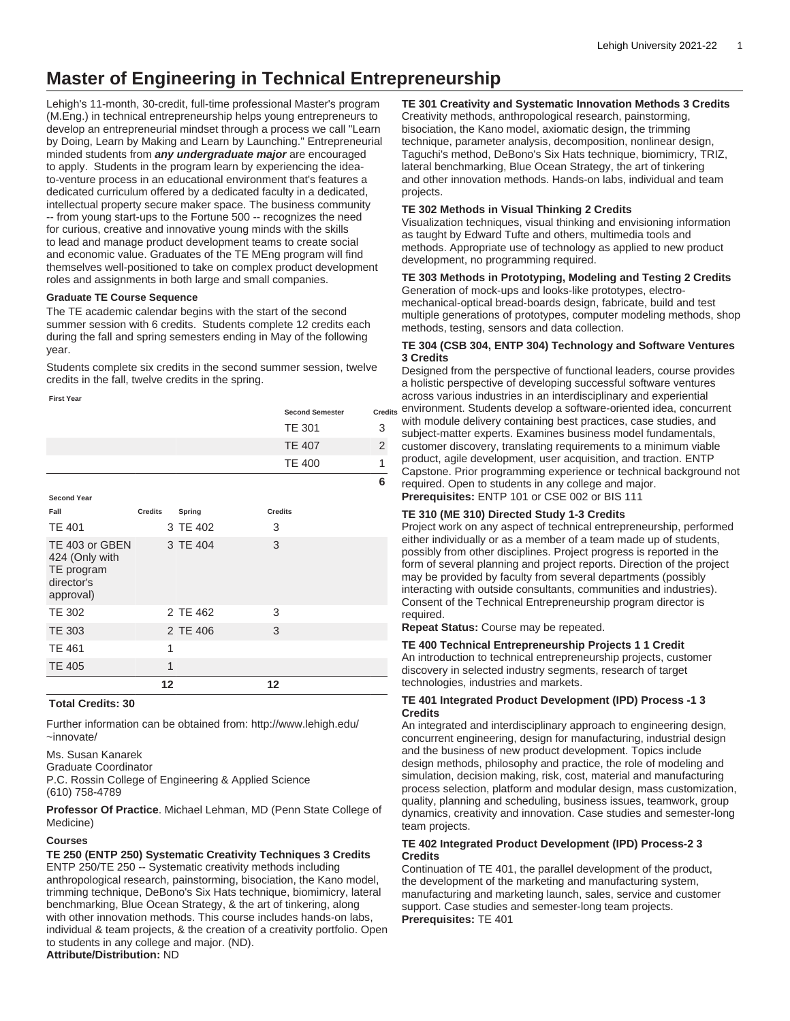# **Master of Engineering in Technical Entrepreneurship**

Lehigh's 11-month, 30-credit, full-time professional Master's program (M.Eng.) in technical entrepreneurship helps young entrepreneurs to develop an entrepreneurial mindset through a process we call "Learn by Doing, Learn by Making and Learn by Launching." Entrepreneurial minded students from **any undergraduate major** are encouraged to apply. Students in the program learn by experiencing the ideato-venture process in an educational environment that's features a dedicated curriculum offered by a dedicated faculty in a dedicated, intellectual property secure maker space. The business community -- from young start-ups to the Fortune 500 -- recognizes the need for curious, creative and innovative young minds with the skills to lead and manage product development teams to create social and economic value. Graduates of the TE MEng program will find themselves well-positioned to take on complex product development roles and assignments in both large and small companies.

#### **Graduate TE Course Sequence**

The TE academic calendar begins with the start of the second summer session with 6 credits. Students complete 12 credits each during the fall and spring semesters ending in May of the following year.

Students complete six credits in the second summer session, twelve credits in the fall, twelve credits in the spring.

**First Year**

| <b>Second Semester</b> | <b>Credits</b> |
|------------------------|----------------|
| <b>TE 301</b>          |                |
| <b>TE 407</b>          |                |
| <b>TE 400</b>          |                |
|                        |                |

# **Total Credits: 30**

Further information can be obtained from: [http://www.lehigh.edu/](http://www.lehigh.edu/~innovate/) [~innovate/](http://www.lehigh.edu/~innovate/)

Ms. Susan Kanarek Graduate Coordinator

P.C. Rossin College of Engineering & Applied Science (610) 758-4789

**Professor Of Practice**. Michael Lehman, MD (Penn State College of Medicine)

# **Courses**

**TE 250 (ENTP 250) Systematic Creativity Techniques 3 Credits** ENTP 250/TE 250 -- Systematic creativity methods including anthropological research, painstorming, bisociation, the Kano model, trimming technique, DeBono's Six Hats technique, biomimicry, lateral benchmarking, Blue Ocean Strategy, & the art of tinkering, along with other innovation methods. This course includes hands-on labs, individual & team projects, & the creation of a creativity portfolio. Open to students in any college and major. (ND). **Attribute/Distribution:** ND

**TE 301 Creativity and Systematic Innovation Methods 3 Credits**

Creativity methods, anthropological research, painstorming, bisociation, the Kano model, axiomatic design, the trimming technique, parameter analysis, decomposition, nonlinear design, Taguchi's method, DeBono's Six Hats technique, biomimicry, TRIZ, lateral benchmarking, Blue Ocean Strategy, the art of tinkering and other innovation methods. Hands-on labs, individual and team projects.

# **TE 302 Methods in Visual Thinking 2 Credits**

Visualization techniques, visual thinking and envisioning information as taught by Edward Tufte and others, multimedia tools and methods. Appropriate use of technology as applied to new product development, no programming required.

**TE 303 Methods in Prototyping, Modeling and Testing 2 Credits**

Generation of mock-ups and looks-like prototypes, electromechanical-optical bread-boards design, fabricate, build and test multiple generations of prototypes, computer modeling methods, shop methods, testing, sensors and data collection.

## **TE 304 (CSB 304, ENTP 304) Technology and Software Ventures 3 Credits**

Designed from the perspective of functional leaders, course provides a holistic perspective of developing successful software ventures across various industries in an interdisciplinary and experiential <sub>ts</sub> environment. Students develop a software-oriented idea, concurrent with module delivery containing best practices, case studies, and subject-matter experts. Examines business model fundamentals, customer discovery, translating requirements to a minimum viable product, agile development, user acquisition, and traction. ENTP Capstone. Prior programming experience or technical background not required. Open to students in any college and major. **Prerequisites:** [ENTP 101](/search/?P=ENTP%20101) or CSE 002 or [BIS 111](/search/?P=BIS%20111)

# **TE 310 (ME 310) Directed Study 1-3 Credits**

Project work on any aspect of technical entrepreneurship, performed either individually or as a member of a team made up of students, possibly from other disciplines. Project progress is reported in the form of several planning and project reports. Direction of the project may be provided by faculty from several departments (possibly interacting with outside consultants, communities and industries). Consent of the Technical Entrepreneurship program director is required.

**Repeat Status:** Course may be repeated.

# **TE 400 Technical Entrepreneurship Projects 1 1 Credit**

An introduction to technical entrepreneurship projects, customer discovery in selected industry segments, research of target technologies, industries and markets.

## **TE 401 Integrated Product Development (IPD) Process -1 3 Credits**

An integrated and interdisciplinary approach to engineering design, concurrent engineering, design for manufacturing, industrial design and the business of new product development. Topics include design methods, philosophy and practice, the role of modeling and simulation, decision making, risk, cost, material and manufacturing process selection, platform and modular design, mass customization, quality, planning and scheduling, business issues, teamwork, group dynamics, creativity and innovation. Case studies and semester-long team projects.

## **TE 402 Integrated Product Development (IPD) Process-2 3 Credits**

Continuation of TE 401, the parallel development of the product, the development of the marketing and manufacturing system, manufacturing and marketing launch, sales, service and customer support. Case studies and semester-long team projects. **Prerequisites:** [TE 401](/search/?P=TE%20401)